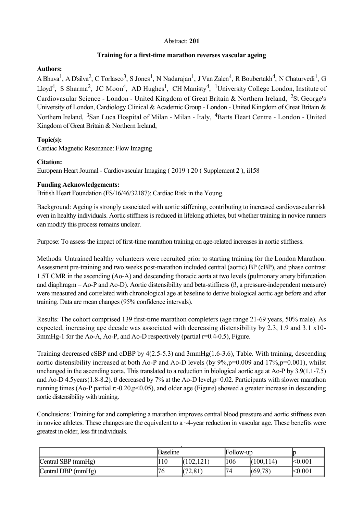### Abstract: **201**

### **Training for a first-time marathon reverses vascular ageing**

### **Authors:**

A Bhuva<sup>1</sup>, A D'silva<sup>2</sup>, C Torlasco<sup>3</sup>, S Jones<sup>1</sup>, N Nadarajan<sup>1</sup>, J Van Zalen<sup>4</sup>, R Boubertakh<sup>4</sup>, N Chaturvedi<sup>1</sup>, G Lloyd<sup>4</sup>, S Sharma<sup>2</sup>, JC Moon<sup>4</sup>, AD Hughes<sup>1</sup>, CH Manisty<sup>4</sup>, <sup>1</sup>University College London, Institute of Cardiovasular Science - London - United Kingdom of Great Britain & Northern Ireland, <sup>2</sup>St George's University of London, Cardiology Clinical & Academic Group - London - United Kingdom of Great Britain & Northern Ireland, <sup>3</sup>San Luca Hospital of Milan - Milan - Italy, <sup>4</sup>Barts Heart Centre - London - United Kingdom of Great Britain & Northern Ireland,

# **Topic(s):**

Cardiac Magnetic Resonance: Flow Imaging

# **Citation:**

European Heart Journal Cardiovascular Imaging ( 2019 ) 20 ( Supplement 2 ), ii158

# **Funding Acknowledgements:**

British Heart Foundation (FS/16/46/32187); Cardiac Risk in the Young.

Background: Ageing is strongly associated with aortic stiffening, contributing to increased cardiovascular risk even in healthy individuals. Aortic stiffness is reduced in lifelong athletes, but whether training in novice runners can modify this process remains unclear.

Purpose: To assess the impact of first-time marathon training on age-related increases in aortic stiffness.

Methods: Untrained healthy volunteers were recruited prior to starting training for the London Marathon. Assessment pre-training and two weeks post-marathon included central (aortic) BP (cBP), and phase contrast 1.5T CMR in the ascending (AoA) and descending thoracic aorta at two levels (pulmonary artery bifurcation and diaphragm – Ao-P and Ao-D). Aortic distensibility and beta-stiffness  $(\beta, a$  pressure-independent measure) were measured and correlated with chronological age at baseline to derive biological aortic age before and after training. Data are mean changes (95% confidence intervals).

Results: The cohort comprised 139 first-time marathon completers (age range 21-69 years, 50% male). As expected, increasing age decade was associated with decreasing distensibility by 2.3, 1.9 and 3.1 x10  $3mmHg-1$  for the Ao-A, Ao-P, and Ao-D respectively (partial  $r=0.4-0.5$ ), Figure.

Training decreased cSBP and cDBP by 4(2.55.3) and 3mmHg(1.63.6), Table. With training, descending aortic distensibility increased at both Ao-P and Ao-D levels (by  $9\%, p=0.009$  and  $17\%, p=0.001$ ), whilst unchanged in the ascending aorta. This translated to a reduction in biological aortic age at Ao-P by 3.9(1.1-7.5) and Ao-D 4.5 years (1.8-8.2). B decreased by 7% at the Ao-D level,  $p=0.02$ . Participants with slower marathon running times (Ao-P partial r:-0.20,p<0.05), and older age (Figure) showed a greater increase in descending aortic distensibility with training.

Conclusions: Training for and completing a marathon improves central blood pressure and aortic stiffness even in novice athletes. These changes are the equivalent to a  $\sim$ 4-year reduction in vascular age. These benefits were greatest in older, less fit individuals.

|                    | Baseline |            | Follow-up |            | Ic               |
|--------------------|----------|------------|-----------|------------|------------------|
| Central SBP (mmHg) | 110      | (102, 121) | 106       | (100, 114) | < 0.001          |
| Central DBP (mmHg) | '76      | (72, 81)   | "74"      | (69,78)    | <sub>0.001</sub> |